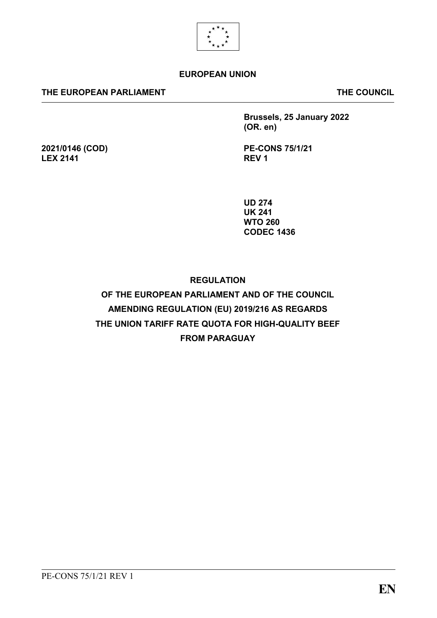

## **EUROPEAN UNION**

### **THE EUROPEAN PARLIAMENT THE COUNCIL**

**2021/0146 (COD)**

**LEX 2141**

**Brussels, 25 January 2022 (OR. en)**

**PE-CONS 75/1/21 REV 1**

**UD 274 UK 241 WTO 260 CODEC 1436**

## **REGULATION**

# **OF THE EUROPEAN PARLIAMENT AND OF THE COUNCIL AMENDING REGULATION (EU) 2019/216 AS REGARDS THE UNION TARIFF RATE QUOTA FOR HIGH-QUALITY BEEF FROM PARAGUAY**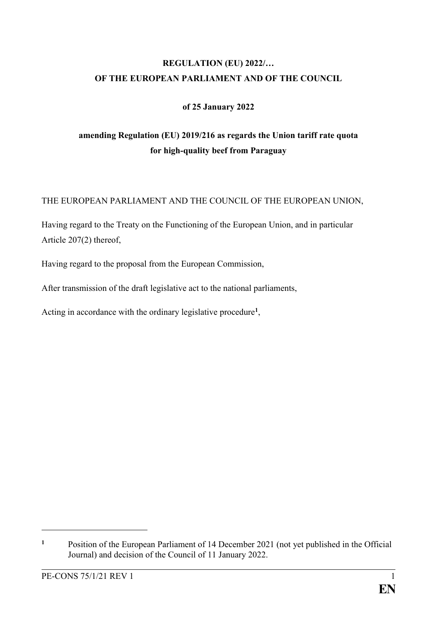# **REGULATION (EU) 2022/… OF THE EUROPEAN PARLIAMENT AND OF THE COUNCIL**

## **of 25 January 2022**

# **amending Regulation (EU) 2019/216 as regards the Union tariff rate quota for high-quality beef from Paraguay**

## THE EUROPEAN PARLIAMENT AND THE COUNCIL OF THE EUROPEAN UNION,

Having regard to the Treaty on the Functioning of the European Union, and in particular Article 207(2) thereof,

Having regard to the proposal from the European Commission,

After transmission of the draft legislative act to the national parliaments,

Acting in accordance with the ordinary legislative procedure**<sup>1</sup>** ,

1

**<sup>1</sup>** Position of the European Parliament of 14 December 2021 (not yet published in the Official Journal) and decision of the Council of 11 January 2022.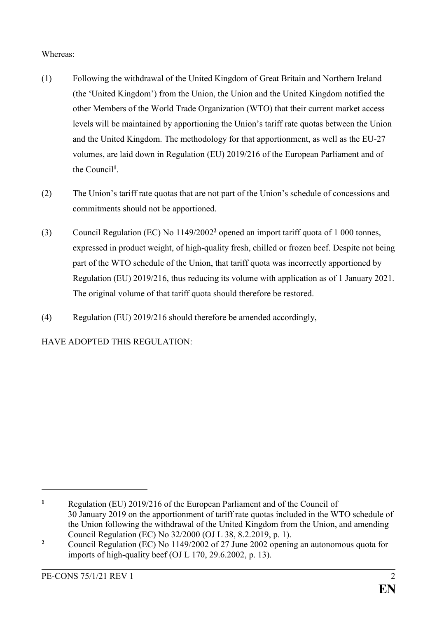## Whereas:

- (1) Following the withdrawal of the United Kingdom of Great Britain and Northern Ireland (the 'United Kingdom') from the Union, the Union and the United Kingdom notified the other Members of the World Trade Organization (WTO) that their current market access levels will be maintained by apportioning the Union's tariff rate quotas between the Union and the United Kingdom. The methodology for that apportionment, as well as the EU-27 volumes, are laid down in Regulation (EU) 2019/216 of the European Parliament and of the Council**<sup>1</sup>** .
- (2) The Union's tariff rate quotas that are not part of the Union's schedule of concessions and commitments should not be apportioned.
- (3) Council Regulation (EC) No 1149/2002**<sup>2</sup>** opened an import tariff quota of 1 000 tonnes, expressed in product weight, of high-quality fresh, chilled or frozen beef. Despite not being part of the WTO schedule of the Union, that tariff quota was incorrectly apportioned by Regulation (EU) 2019/216, thus reducing its volume with application as of 1 January 2021. The original volume of that tariff quota should therefore be restored.
- (4) Regulation (EU) 2019/216 should therefore be amended accordingly,

## HAVE ADOPTED THIS REGULATION:

1

**<sup>1</sup>** Regulation (EU) 2019/216 of the European Parliament and of the Council of 30 January 2019 on the apportionment of tariff rate quotas included in the WTO schedule of the Union following the withdrawal of the United Kingdom from the Union, and amending Council Regulation (EC) No 32/2000 (OJ L 38, 8.2.2019, p. 1).

**<sup>2</sup>** Council Regulation (EC) No 1149/2002 of 27 June 2002 opening an autonomous quota for imports of high-quality beef (OJ L 170, 29.6.2002, p. 13).